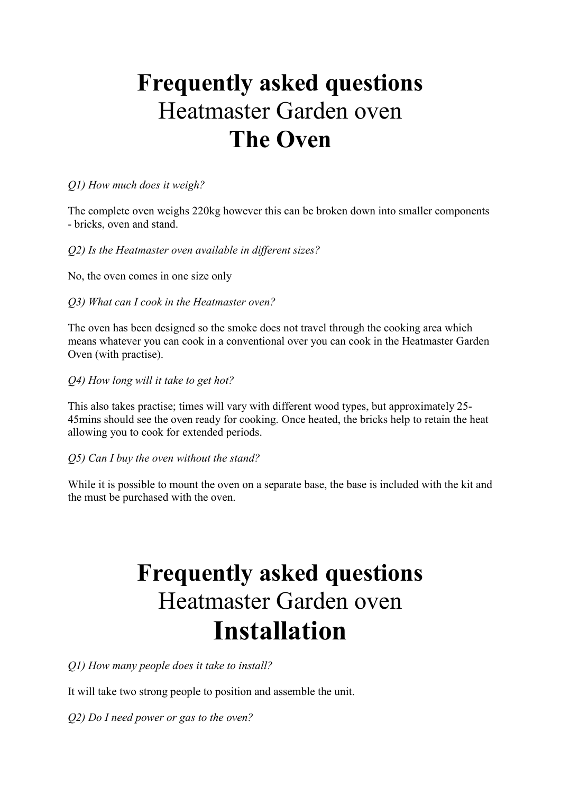# **Frequently asked questions**  Heatmaster Garden oven **The Oven**

### *Q1) How much does it weigh?*

The complete oven weighs 220kg however this can be broken down into smaller components - bricks, oven and stand.

## *Q2) Is the Heatmaster oven available in different sizes?*

No, the oven comes in one size only

*Q3) What can I cook in the Heatmaster oven?* 

The oven has been designed so the smoke does not travel through the cooking area which means whatever you can cook in a conventional over you can cook in the Heatmaster Garden Oven (with practise).

*Q4) How long will it take to get hot?* 

This also takes practise; times will vary with different wood types, but approximately 25- 45mins should see the oven ready for cooking. Once heated, the bricks help to retain the heat allowing you to cook for extended periods.

### *Q5) Can I buy the oven without the stand?*

While it is possible to mount the oven on a separate base, the base is included with the kit and the must be purchased with the oven.

# **Frequently asked questions**  Heatmaster Garden oven **Installation**

*Q1) How many people does it take to install?* 

It will take two strong people to position and assemble the unit.

*Q2) Do I need power or gas to the oven?*